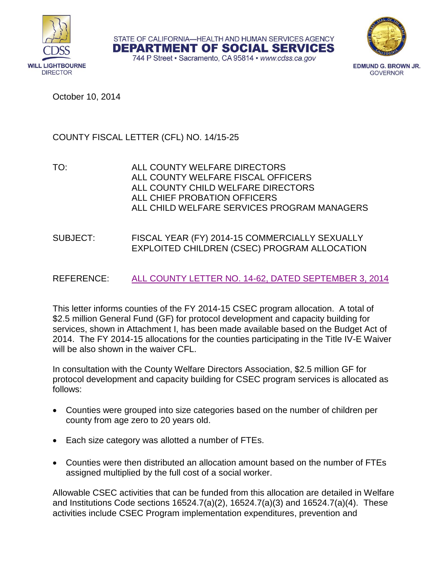

STATE OF CALIFORNIA-HEALTH AND HUMAN SERVICES AGENCY **DEPARTMENT OF SOCIAL SERVICES** 



744 P Street · Sacramento, CA 95814 · www.cdss.ca.gov

**EDMUND G. BROWN JR. GOVERNOR** 

October 10, 2014

# COUNTY FISCAL LETTER (CFL) NO. 14/15-25

TO: ALL COUNTY WELFARE DIRECTORS ALL COUNTY WELFARE FISCAL OFFICERS ALL COUNTY CHILD WELFARE DIRECTORS ALL CHIEF PROBATION OFFICERS ALL CHILD WELFARE SERVICES PROGRAM MANAGERS

## SUBJECT: FISCAL YEAR (FY) 2014-15 COMMERCIALLY SEXUALLY EXPLOITED CHILDREN (CSEC) PROGRAM ALLOCATION

## REFERENCE: [ALL COUNTY LETTER NO. 14-62, DATED SEPTEMBER 3, 2014](http://www.cdss.ca.gov/lettersnotices/EntRes/getinfo/acl/2014/14-62.Pdf)

This letter informs counties of the FY 2014-15 CSEC program allocation. A total of \$2.5 million General Fund (GF) for protocol development and capacity building for services, shown in Attachment I, has been made available based on the Budget Act of 2014. The FY 2014-15 allocations for the counties participating in the Title IV-E Waiver will be also shown in the waiver CFL.

In consultation with the County Welfare Directors Association, \$2.5 million GF for protocol development and capacity building for CSEC program services is allocated as follows:

- Counties were grouped into size categories based on the number of children per county from age zero to 20 years old.
- Each size category was allotted a number of FTEs.
- Counties were then distributed an allocation amount based on the number of FTEs assigned multiplied by the full cost of a social worker.

Allowable CSEC activities that can be funded from this allocation are detailed in Welfare and Institutions Code sections 16524.7(a)(2), 16524.7(a)(3) and 16524.7(a)(4). These activities include CSEC Program implementation expenditures, prevention and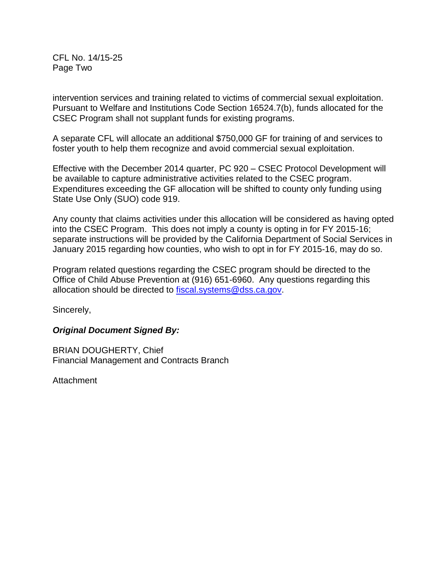CFL No. 14/15-25 Page Two

intervention services and training related to victims of commercial sexual exploitation. Pursuant to Welfare and Institutions Code Section 16524.7(b), funds allocated for the CSEC Program shall not supplant funds for existing programs.

A separate CFL will allocate an additional \$750,000 GF for training of and services to foster youth to help them recognize and avoid commercial sexual exploitation.

Effective with the December 2014 quarter, PC 920 – CSEC Protocol Development will be available to capture administrative activities related to the CSEC program. Expenditures exceeding the GF allocation will be shifted to county only funding using State Use Only (SUO) code 919.

Any county that claims activities under this allocation will be considered as having opted into the CSEC Program. This does not imply a county is opting in for FY 2015-16; separate instructions will be provided by the California Department of Social Services in January 2015 regarding how counties, who wish to opt in for FY 2015-16, may do so.

Program related questions regarding the CSEC program should be directed to the Office of Child Abuse Prevention at (916) 651-6960. Any questions regarding this allocation should be directed to [fiscal.systems@dss.ca.gov.](mailto:fiscal.systems@dss.ca.gov)

Sincerely,

### *Original Document Signed By:*

BRIAN DOUGHERTY, Chief Financial Management and Contracts Branch

Attachment